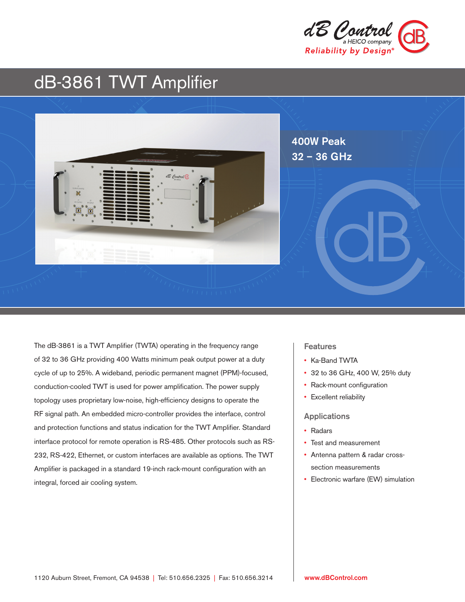

# dB-3861 TWT Amplifier



The dB-3861 is a TWT Amplifier (TWTA) operating in the frequency range of 32 to 36 GHz providing 400 Watts minimum peak output power at a duty cycle of up to 25%. A wideband, periodic permanent magnet (PPM)-focused, conduction-cooled TWT is used for power amplification. The power supply topology uses proprietary low-noise, high-efficiency designs to operate the RF signal path. An embedded micro-controller provides the interface, control and protection functions and status indication for the TWT Amplifier. Standard interface protocol for remote operation is RS-485. Other protocols such as RS-232, RS-422, Ethernet, or custom interfaces are available as options. The TWT Amplifier is packaged in a standard 19-inch rack-mount configuration with an integral, forced air cooling system.

### **Features**

- Ka-Band TWTA
- 32 to 36 GHz, 400 W, 25% duty
- Rack-mount configuration
- Excellent reliability

#### Applications

- Radars
- Test and measurement
- Antenna pattern & radar crosssection measurements
- Electronic warfare (EW) simulation